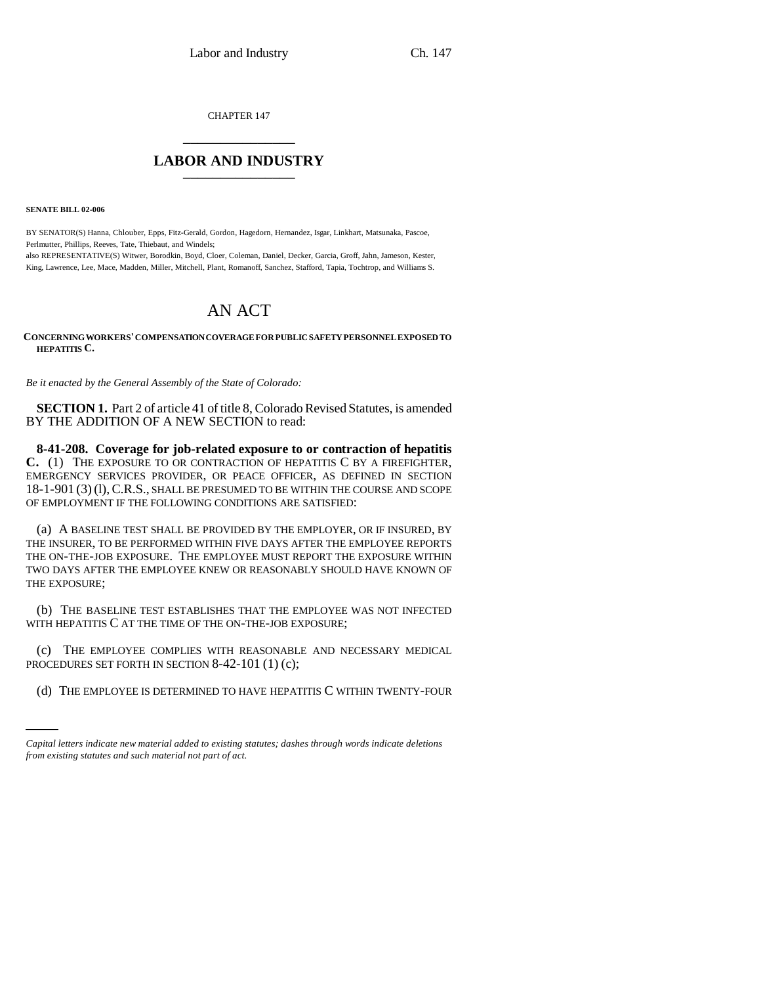CHAPTER 147 \_\_\_\_\_\_\_\_\_\_\_\_\_\_\_

## **LABOR AND INDUSTRY** \_\_\_\_\_\_\_\_\_\_\_\_\_\_\_

**SENATE BILL 02-006**

BY SENATOR(S) Hanna, Chlouber, Epps, Fitz-Gerald, Gordon, Hagedorn, Hernandez, Isgar, Linkhart, Matsunaka, Pascoe, Perlmutter, Phillips, Reeves, Tate, Thiebaut, and Windels; also REPRESENTATIVE(S) Witwer, Borodkin, Boyd, Cloer, Coleman, Daniel, Decker, Garcia, Groff, Jahn, Jameson, Kester,

King, Lawrence, Lee, Mace, Madden, Miller, Mitchell, Plant, Romanoff, Sanchez, Stafford, Tapia, Tochtrop, and Williams S.

## AN ACT

## **CONCERNING WORKERS' COMPENSATION COVERAGE FOR PUBLIC SAFETY PERSONNEL EXPOSED TO HEPATITIS C.**

*Be it enacted by the General Assembly of the State of Colorado:*

**SECTION 1.** Part 2 of article 41 of title 8, Colorado Revised Statutes, is amended BY THE ADDITION OF A NEW SECTION to read:

**8-41-208. Coverage for job-related exposure to or contraction of hepatitis C.** (1) THE EXPOSURE TO OR CONTRACTION OF HEPATITIS C BY A FIREFIGHTER, EMERGENCY SERVICES PROVIDER, OR PEACE OFFICER, AS DEFINED IN SECTION 18-1-901 (3) (l),C.R.S., SHALL BE PRESUMED TO BE WITHIN THE COURSE AND SCOPE OF EMPLOYMENT IF THE FOLLOWING CONDITIONS ARE SATISFIED:

(a) A BASELINE TEST SHALL BE PROVIDED BY THE EMPLOYER, OR IF INSURED, BY THE INSURER, TO BE PERFORMED WITHIN FIVE DAYS AFTER THE EMPLOYEE REPORTS THE ON-THE-JOB EXPOSURE. THE EMPLOYEE MUST REPORT THE EXPOSURE WITHIN TWO DAYS AFTER THE EMPLOYEE KNEW OR REASONABLY SHOULD HAVE KNOWN OF THE EXPOSURE;

(b) THE BASELINE TEST ESTABLISHES THAT THE EMPLOYEE WAS NOT INFECTED WITH HEPATITIS C AT THE TIME OF THE ON-THE-JOB EXPOSURE;

PROCEDURES SET FORTH IN SECTION 8-42-101 (1) (c); (c) THE EMPLOYEE COMPLIES WITH REASONABLE AND NECESSARY MEDICAL

(d) THE EMPLOYEE IS DETERMINED TO HAVE HEPATITIS C WITHIN TWENTY-FOUR

*Capital letters indicate new material added to existing statutes; dashes through words indicate deletions from existing statutes and such material not part of act.*